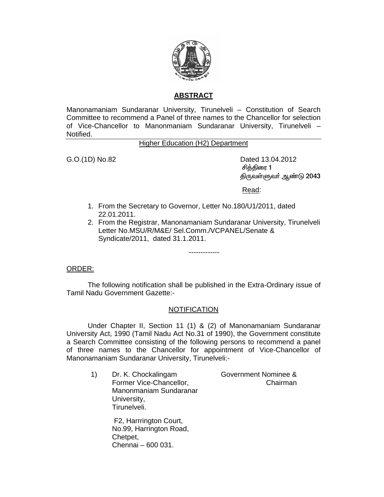

## **ABSTRACT**

Manonamaniam Sundaranar University, Tirunelveli – Constitution of Search Committee to recommend a Panel of three names to the Chancellor for selection of Vice-Chancellor to Manonmaniam Sundaranar University, Tirunelveli – Notified.

## Higher Education (H2) Department

G.O.(1D) No.82 Dated 13.04.2012 சித்திரை 1 திருவள்ளுவா் ஆண்டு 2043

Read:

- 1. From the Secretary to Governor, Letter No.180/U1/2011, dated 22.01.2011.
- 2. From the Registrar, Manonamaniam Sundaranar University, Tirunelveli Letter No.MSU/R/M&E/ Sel.Comm./VCPANEL/Senate & Syndicate/2011, dated 31.1.2011.

-------------

ORDER:

 The following notification shall be published in the Extra-Ordinary issue of Tamil Nadu Government Gazette:-

## **NOTIFICATION**

 Under Chapter II, Section 11 (1) & (2) of Manonamaniam Sundaranar University Act, 1990 (Tamil Nadu Act No.31 of 1990), the Government constitute a Search Committee consisting of the following persons to recommend a panel of three names to the Chancellor for appointment of Vice-Chancellor of Manonamaniam Sundaranar University, Tirunelveli:-

1) Dr. K. Chockalingam Former Vice-Chancellor, Manonmaniam Sundaranar University, Tirunelveli.

Government Nominee & Chairman

 F2, Harrrington Court, No.99, Harrington Road, Chetpet, Chennai – 600 031.